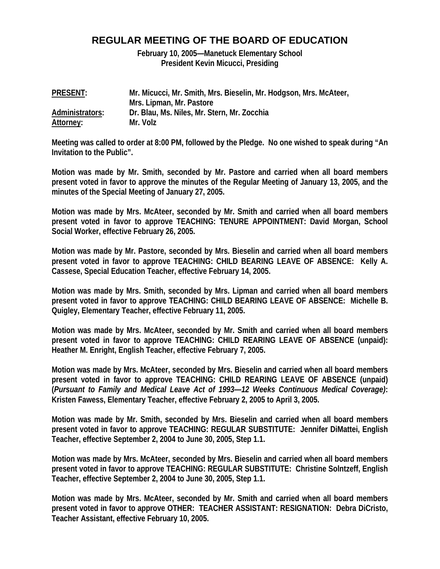## **REGULAR MEETING OF THE BOARD OF EDUCATION**

**February 10, 2005—Manetuck Elementary School President Kevin Micucci, Presiding** 

| <b>PRESENT:</b> | Mr. Micucci, Mr. Smith, Mrs. Bieselin, Mr. Hodgson, Mrs. McAteer, |
|-----------------|-------------------------------------------------------------------|
|                 | Mrs. Lipman, Mr. Pastore                                          |
| Administrators: | Dr. Blau, Ms. Niles, Mr. Stern, Mr. Zocchia                       |
| Attorney:       | Mr. Volz                                                          |

**Meeting was called to order at 8:00 PM, followed by the Pledge. No one wished to speak during "An Invitation to the Public".** 

**Motion was made by Mr. Smith, seconded by Mr. Pastore and carried when all board members present voted in favor to approve the minutes of the Regular Meeting of January 13, 2005, and the minutes of the Special Meeting of January 27, 2005.** 

**Motion was made by Mrs. McAteer, seconded by Mr. Smith and carried when all board members present voted in favor to approve TEACHING: TENURE APPOINTMENT: David Morgan, School Social Worker, effective February 26, 2005.** 

**Motion was made by Mr. Pastore, seconded by Mrs. Bieselin and carried when all board members present voted in favor to approve TEACHING: CHILD BEARING LEAVE OF ABSENCE: Kelly A. Cassese, Special Education Teacher, effective February 14, 2005.** 

**Motion was made by Mrs. Smith, seconded by Mrs. Lipman and carried when all board members present voted in favor to approve TEACHING: CHILD BEARING LEAVE OF ABSENCE: Michelle B. Quigley, Elementary Teacher, effective February 11, 2005.** 

**Motion was made by Mrs. McAteer, seconded by Mr. Smith and carried when all board members present voted in favor to approve TEACHING: CHILD REARING LEAVE OF ABSENCE (unpaid): Heather M. Enright, English Teacher, effective February 7, 2005.** 

**Motion was made by Mrs. McAteer, seconded by Mrs. Bieselin and carried when all board members present voted in favor to approve TEACHING: CHILD REARING LEAVE OF ABSENCE (unpaid) (***Pursuant to Family and Medical Leave Act of 1993—12 Weeks Continuous Medical Coverage)***: Kristen Fawess, Elementary Teacher, effective February 2, 2005 to April 3, 2005.** 

**Motion was made by Mr. Smith, seconded by Mrs. Bieselin and carried when all board members present voted in favor to approve TEACHING: REGULAR SUBSTITUTE: Jennifer DiMattei, English Teacher, effective September 2, 2004 to June 30, 2005, Step 1.1.** 

**Motion was made by Mrs. McAteer, seconded by Mrs. Bieselin and carried when all board members present voted in favor to approve TEACHING: REGULAR SUBSTITUTE: Christine Solntzeff, English Teacher, effective September 2, 2004 to June 30, 2005, Step 1.1.** 

**Motion was made by Mrs. McAteer, seconded by Mr. Smith and carried when all board members present voted in favor to approve OTHER: TEACHER ASSISTANT: RESIGNATION: Debra DiCristo, Teacher Assistant, effective February 10, 2005.**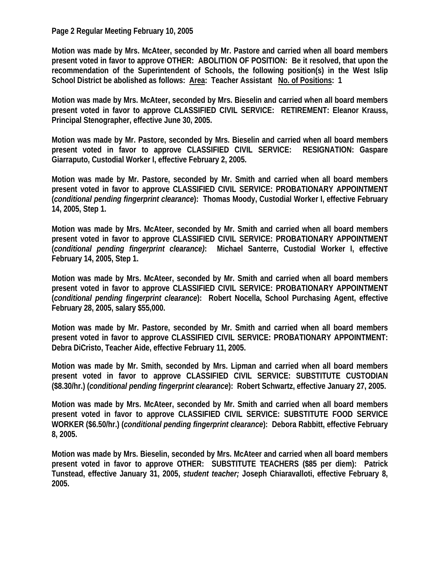**Page 2 Regular Meeting February 10, 2005** 

**Motion was made by Mrs. McAteer, seconded by Mr. Pastore and carried when all board members present voted in favor to approve OTHER: ABOLITION OF POSITION: Be it resolved, that upon the recommendation of the Superintendent of Schools, the following position(s) in the West Islip School District be abolished as follows: Area: Teacher Assistant No. of Positions: 1** 

**Motion was made by Mrs. McAteer, seconded by Mrs. Bieselin and carried when all board members present voted in favor to approve CLASSIFIED CIVIL SERVICE: RETIREMENT: Eleanor Krauss, Principal Stenographer, effective June 30, 2005.** 

**Motion was made by Mr. Pastore, seconded by Mrs. Bieselin and carried when all board members present voted in favor to approve CLASSIFIED CIVIL SERVICE: RESIGNATION: Gaspare Giarraputo, Custodial Worker I, effective February 2, 2005.** 

**Motion was made by Mr. Pastore, seconded by Mr. Smith and carried when all board members present voted in favor to approve CLASSIFIED CIVIL SERVICE: PROBATIONARY APPOINTMENT (***conditional pending fingerprint clearance***): Thomas Moody, Custodial Worker I, effective February 14, 2005, Step 1.** 

**Motion was made by Mrs. McAteer, seconded by Mr. Smith and carried when all board members present voted in favor to approve CLASSIFIED CIVIL SERVICE: PROBATIONARY APPOINTMENT (***conditional pending fingerprint clearance)***: Michael Santerre, Custodial Worker I, effective February 14, 2005, Step 1.** 

**Motion was made by Mrs. McAteer, seconded by Mr. Smith and carried when all board members present voted in favor to approve CLASSIFIED CIVIL SERVICE: PROBATIONARY APPOINTMENT (***conditional pending fingerprint clearance***): Robert Nocella, School Purchasing Agent, effective February 28, 2005, salary \$55,000.** 

**Motion was made by Mr. Pastore, seconded by Mr. Smith and carried when all board members present voted in favor to approve CLASSIFIED CIVIL SERVICE: PROBATIONARY APPOINTMENT: Debra DiCristo, Teacher Aide, effective February 11, 2005.** 

**Motion was made by Mr. Smith, seconded by Mrs. Lipman and carried when all board members present voted in favor to approve CLASSIFIED CIVIL SERVICE: SUBSTITUTE CUSTODIAN (\$8.30/hr.) (***conditional pending fingerprint clearance***): Robert Schwartz, effective January 27, 2005.** 

**Motion was made by Mrs. McAteer, seconded by Mr. Smith and carried when all board members present voted in favor to approve CLASSIFIED CIVIL SERVICE: SUBSTITUTE FOOD SERVICE WORKER (\$6.50/hr.) (***conditional pending fingerprint clearance***): Debora Rabbitt, effective February 8, 2005.** 

**Motion was made by Mrs. Bieselin, seconded by Mrs. McAteer and carried when all board members present voted in favor to approve OTHER: SUBSTITUTE TEACHERS (\$85 per diem): Patrick Tunstead, effective January 31, 2005,** *student teacher;* **Joseph Chiaravalloti, effective February 8, 2005.**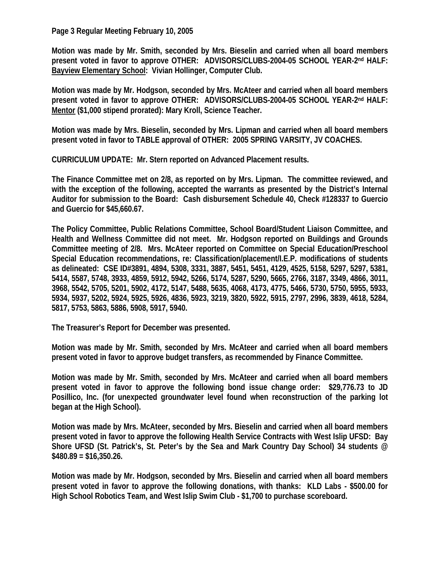**Page 3 Regular Meeting February 10, 2005** 

**Motion was made by Mr. Smith, seconded by Mrs. Bieselin and carried when all board members present voted in favor to approve OTHER: ADVISORS/CLUBS-2004-05 SCHOOL YEAR-2nd HALF: Bayview Elementary School: Vivian Hollinger, Computer Club.** 

**Motion was made by Mr. Hodgson, seconded by Mrs. McAteer and carried when all board members present voted in favor to approve OTHER: ADVISORS/CLUBS-2004-05 SCHOOL YEAR-2nd HALF: Mentor (\$1,000 stipend prorated): Mary Kroll, Science Teacher.** 

**Motion was made by Mrs. Bieselin, seconded by Mrs. Lipman and carried when all board members present voted in favor to TABLE approval of OTHER: 2005 SPRING VARSITY, JV COACHES.** 

**CURRICULUM UPDATE: Mr. Stern reported on Advanced Placement results.** 

**The Finance Committee met on 2/8, as reported on by Mrs. Lipman. The committee reviewed, and with the exception of the following, accepted the warrants as presented by the District's Internal Auditor for submission to the Board: Cash disbursement Schedule 40, Check #128337 to Guercio and Guercio for \$45,660.67.** 

**The Policy Committee, Public Relations Committee, School Board/Student Liaison Committee, and Health and Wellness Committee did not meet. Mr. Hodgson reported on Buildings and Grounds Committee meeting of 2/8. Mrs. McAteer reported on Committee on Special Education/Preschool Special Education recommendations, re: Classification/placement/I.E.P. modifications of students as delineated: CSE ID#3891, 4894, 5308, 3331, 3887, 5451, 5451, 4129, 4525, 5158, 5297, 5297, 5381, 5414, 5587, 5748, 3933, 4859, 5912, 5942, 5266, 5174, 5287, 5290, 5665, 2766, 3187, 3349, 4866, 3011, 3968, 5542, 5705, 5201, 5902, 4172, 5147, 5488, 5635, 4068, 4173, 4775, 5466, 5730, 5750, 5955, 5933, 5934, 5937, 5202, 5924, 5925, 5926, 4836, 5923, 3219, 3820, 5922, 5915, 2797, 2996, 3839, 4618, 5284, 5817, 5753, 5863, 5886, 5908, 5917, 5940.** 

**The Treasurer's Report for December was presented.** 

**Motion was made by Mr. Smith, seconded by Mrs. McAteer and carried when all board members present voted in favor to approve budget transfers, as recommended by Finance Committee.** 

**Motion was made by Mr. Smith, seconded by Mrs. McAteer and carried when all board members present voted in favor to approve the following bond issue change order: \$29,776.73 to JD Posillico, Inc. (for unexpected groundwater level found when reconstruction of the parking lot began at the High School).** 

**Motion was made by Mrs. McAteer, seconded by Mrs. Bieselin and carried when all board members present voted in favor to approve the following Health Service Contracts with West Islip UFSD: Bay Shore UFSD (St. Patrick's, St. Peter's by the Sea and Mark Country Day School) 34 students @ \$480.89 = \$16,350.26.** 

**Motion was made by Mr. Hodgson, seconded by Mrs. Bieselin and carried when all board members present voted in favor to approve the following donations, with thanks: KLD Labs - \$500.00 for High School Robotics Team, and West Islip Swim Club - \$1,700 to purchase scoreboard.**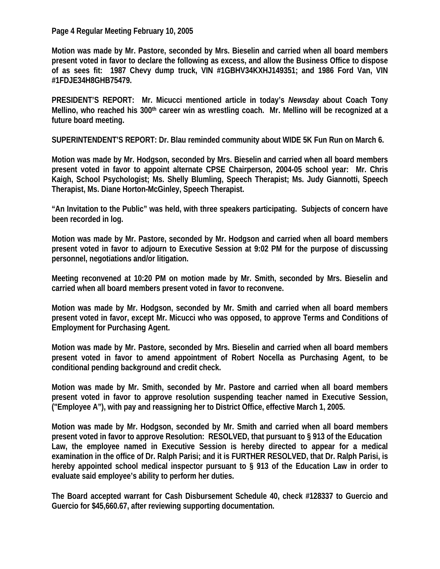**Page 4 Regular Meeting February 10, 2005** 

**Motion was made by Mr. Pastore, seconded by Mrs. Bieselin and carried when all board members present voted in favor to declare the following as excess, and allow the Business Office to dispose of as sees fit: 1987 Chevy dump truck, VIN #1GBHV34KXHJ149351; and 1986 Ford Van, VIN #1FDJE34H8GHB75479.** 

**PRESIDENT'S REPORT: Mr. Micucci mentioned article in today's** *Newsday* **about Coach Tony Mellino, who reached his 300th career win as wrestling coach. Mr. Mellino will be recognized at a future board meeting.** 

**SUPERINTENDENT'S REPORT: Dr. Blau reminded community about WIDE 5K Fun Run on March 6.** 

**Motion was made by Mr. Hodgson, seconded by Mrs. Bieselin and carried when all board members present voted in favor to appoint alternate CPSE Chairperson, 2004-05 school year: Mr. Chris Kaigh, School Psychologist; Ms. Shelly Blumling, Speech Therapist; Ms. Judy Giannotti, Speech Therapist, Ms. Diane Horton-McGinley, Speech Therapist.** 

**"An Invitation to the Public" was held, with three speakers participating. Subjects of concern have been recorded in log.** 

**Motion was made by Mr. Pastore, seconded by Mr. Hodgson and carried when all board members present voted in favor to adjourn to Executive Session at 9:02 PM for the purpose of discussing personnel, negotiations and/or litigation.** 

**Meeting reconvened at 10:20 PM on motion made by Mr. Smith, seconded by Mrs. Bieselin and carried when all board members present voted in favor to reconvene.** 

**Motion was made by Mr. Hodgson, seconded by Mr. Smith and carried when all board members present voted in favor, except Mr. Micucci who was opposed, to approve Terms and Conditions of Employment for Purchasing Agent.** 

**Motion was made by Mr. Pastore, seconded by Mrs. Bieselin and carried when all board members present voted in favor to amend appointment of Robert Nocella as Purchasing Agent, to be conditional pending background and credit check.** 

**Motion was made by Mr. Smith, seconded by Mr. Pastore and carried when all board members present voted in favor to approve resolution suspending teacher named in Executive Session, ("Employee A"), with pay and reassigning her to District Office, effective March 1, 2005.** 

**Motion was made by Mr. Hodgson, seconded by Mr. Smith and carried when all board members present voted in favor to approve Resolution: RESOLVED, that pursuant to § 913 of the Education Law, the employee named in Executive Session is hereby directed to appear for a medical examination in the office of Dr. Ralph Parisi; and it is FURTHER RESOLVED, that Dr. Ralph Parisi, is hereby appointed school medical inspector pursuant to § 913 of the Education Law in order to evaluate said employee's ability to perform her duties.** 

**The Board accepted warrant for Cash Disbursement Schedule 40, check #128337 to Guercio and Guercio for \$45,660.67, after reviewing supporting documentation.**